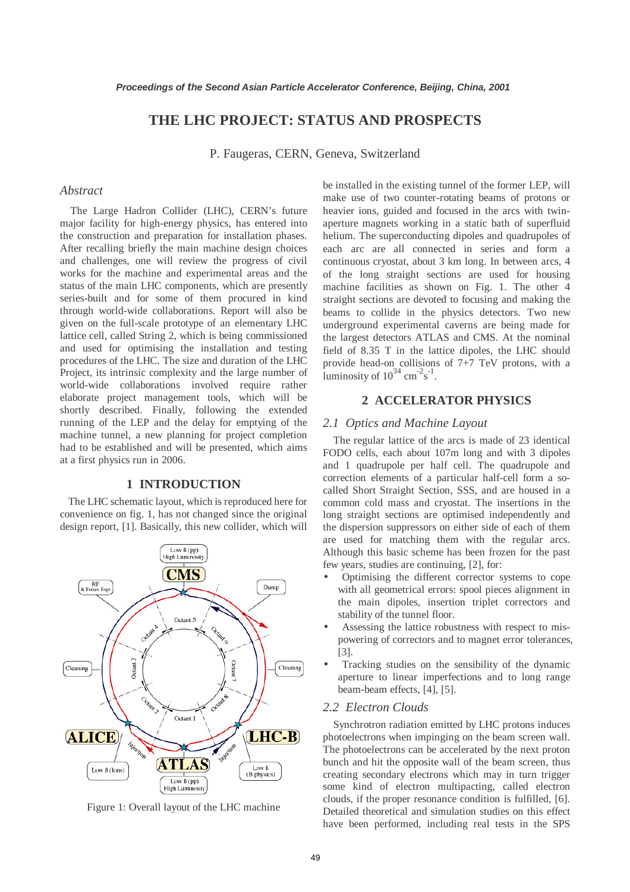# **THE LHC PROJECT: STATUS AND PROSPECTS**

P. Faugeras, CERN, Geneva, Switzerland

## *Abstract*

The Large Hadron Collider (LHC), CERN's future major facility for high-energy physics, has entered into the construction and preparation for installation phases. After recalling briefly the main machine design choices and challenges, one will review the progress of civil works for the machine and experimental areas and the status of the main LHC components, which are presently series-built and for some of them procured in kind through world-wide collaborations. Report will also be given on the full-scale prototype of an elementary LHC lattice cell, called String 2, which is being commissioned and used for optimising the installation and testing procedures of the LHC. The size and duration of the LHC Project, its intrinsic complexity and the large number of world-wide collaborations involved require rather elaborate project management tools, which will be shortly described. Finally, following the extended running of the LEP and the delay for emptying of the machine tunnel, a new planning for project completion had to be established and will be presented, which aims at a first physics run in 2006.

## **1 INTRODUCTION**

The LHC schematic layout, which is reproduced here for convenience on fig. 1, has not changed since the original design report, [1]. Basically, this new collider, which will



Figure 1: Overall layout of the LHC machine

be installed in the existing tunnel of the former LEP, will make use of two counter-rotating beams of protons or heavier ions, guided and focused in the arcs with twinaperture magnets working in a static bath of superfluid helium. The superconducting dipoles and quadrupoles of each arc are all connected in series and form a continuous cryostat, about 3 km long. In between arcs, 4 of the long straight sections are used for housing machine facilities as shown on Fig. 1. The other 4 straight sections are devoted to focusing and making the beams to collide in the physics detectors. Two new underground experimental caverns are being made for the largest detectors ATLAS and CMS. At the nominal field of 8.35 T in the lattice dipoles, the LHC should provide head-on collisions of 7+7 TeV protons, with a luminosity of  $10^{34}$  cm<sup>-2</sup>s<sup>-1</sup>.

## **2 ACCELERATOR PHYSICS**

## *2.1 Optics and Machine Layout*

The regular lattice of the arcs is made of 23 identical FODO cells, each about 107m long and with 3 dipoles and 1 quadrupole per half cell. The quadrupole and correction elements of a particular half-cell form a socalled Short Straight Section, SSS, and are housed in a common cold mass and cryostat. The insertions in the long straight sections are optimised independently and the dispersion suppressors on either side of each of them are used for matching them with the regular arcs. Although this basic scheme has been frozen for the past few years, studies are continuing, [2], for:

- Optimising the different corrector systems to cope with all geometrical errors: spool pieces alignment in the main dipoles, insertion triplet correctors and stability of the tunnel floor.
- Assessing the lattice robustness with respect to mispowering of correctors and to magnet error tolerances, [3].
- Tracking studies on the sensibility of the dynamic aperture to linear imperfections and to long range beam-beam effects, [4], [5].

### *2.2 Electron Clouds*

Synchrotron radiation emitted by LHC protons induces photoelectrons when impinging on the beam screen wall. The photoelectrons can be accelerated by the next proton bunch and hit the opposite wall of the beam screen, thus creating secondary electrons which may in turn trigger some kind of electron multipacting, called electron clouds, if the proper resonance condition is fulfilled, [6]. Detailed theoretical and simulation studies on this effect have been performed, including real tests in the SPS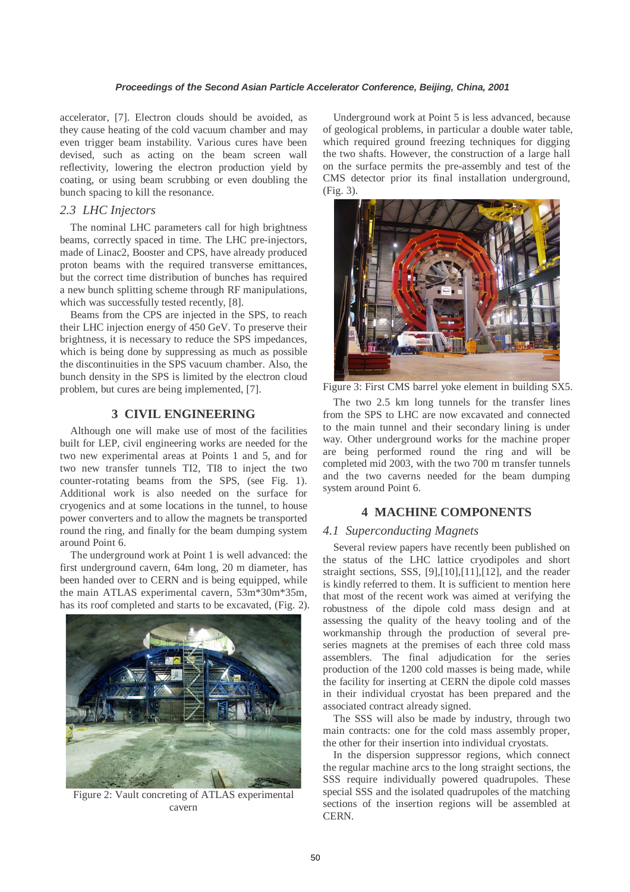accelerator, [7]. Electron clouds should be avoided, as they cause heating of the cold vacuum chamber and may even trigger beam instability. Various cures have been devised, such as acting on the beam screen wall reflectivity, lowering the electron production yield by coating, or using beam scrubbing or even doubling the bunch spacing to kill the resonance.

# *2.3 LHC Injectors*

The nominal LHC parameters call for high brightness beams, correctly spaced in time. The LHC pre-injectors, made of Linac2, Booster and CPS, have already produced proton beams with the required transverse emittances, but the correct time distribution of bunches has required a new bunch splitting scheme through RF manipulations, which was successfully tested recently, [8].

Beams from the CPS are injected in the SPS, to reach their LHC injection energy of 450 GeV. To preserve their brightness, it is necessary to reduce the SPS impedances, which is being done by suppressing as much as possible the discontinuities in the SPS vacuum chamber. Also, the bunch density in the SPS is limited by the electron cloud problem, but cures are being implemented, [7].

# **3 CIVIL ENGINEERING**

Although one will make use of most of the facilities built for LEP, civil engineering works are needed for the two new experimental areas at Points 1 and 5, and for two new transfer tunnels TI2, TI8 to inject the two counter-rotating beams from the SPS, (see Fig. 1). Additional work is also needed on the surface for cryogenics and at some locations in the tunnel, to house power converters and to allow the magnets be transported round the ring, and finally for the beam dumping system around Point 6.

The underground work at Point 1 is well advanced: the first underground cavern, 64m long, 20 m diameter, has been handed over to CERN and is being equipped, while the main ATLAS experimental cavern, 53m\*30m\*35m, has its roof completed and starts to be excavated, (Fig. 2).



Figure 2: Vault concreting of ATLAS experimental cavern

Underground work at Point 5 is less advanced, because of geological problems, in particular a double water table, which required ground freezing techniques for digging the two shafts. However, the construction of a large hall on the surface permits the pre-assembly and test of the CMS detector prior its final installation underground, (Fig. 3).



Figure 3: First CMS barrel yoke element in building SX5.

The two 2.5 km long tunnels for the transfer lines from the SPS to LHC are now excavated and connected to the main tunnel and their secondary lining is under way. Other underground works for the machine proper are being performed round the ring and will be completed mid 2003, with the two 700 m transfer tunnels and the two caverns needed for the beam dumping system around Point 6.

# **4 MACHINE COMPONENTS**

# *4.1 Superconducting Magnets*

Several review papers have recently been published on the status of the LHC lattice cryodipoles and short straight sections, SSS, [9],[10],[11],[12], and the reader is kindly referred to them. It is sufficient to mention here that most of the recent work was aimed at verifying the robustness of the dipole cold mass design and at assessing the quality of the heavy tooling and of the workmanship through the production of several preseries magnets at the premises of each three cold mass assemblers. The final adjudication for the series production of the 1200 cold masses is being made, while the facility for inserting at CERN the dipole cold masses in their individual cryostat has been prepared and the associated contract already signed.

The SSS will also be made by industry, through two main contracts: one for the cold mass assembly proper, the other for their insertion into individual cryostats.

In the dispersion suppressor regions, which connect the regular machine arcs to the long straight sections, the SSS require individually powered quadrupoles. These special SSS and the isolated quadrupoles of the matching sections of the insertion regions will be assembled at CERN.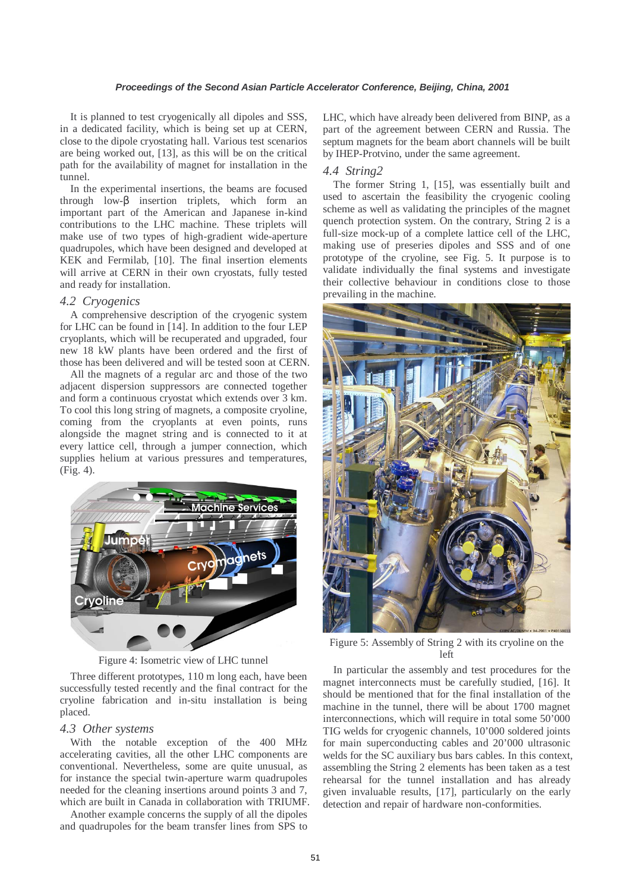It is planned to test cryogenically all dipoles and SSS, in a dedicated facility, which is being set up at CERN, close to the dipole cryostating hall. Various test scenarios are being worked out, [13], as this will be on the critical path for the availability of magnet for installation in the tunnel.

In the experimental insertions, the beams are focused through low-β insertion triplets, which form an important part of the American and Japanese in-kind contributions to the LHC machine. These triplets will make use of two types of high-gradient wide-aperture quadrupoles, which have been designed and developed at KEK and Fermilab, [10]. The final insertion elements will arrive at CERN in their own cryostats, fully tested and ready for installation.

#### *4.2 Cryogenics*

A comprehensive description of the cryogenic system for LHC can be found in [14]. In addition to the four LEP cryoplants, which will be recuperated and upgraded, four new 18 kW plants have been ordered and the first of those has been delivered and will be tested soon at CERN.

All the magnets of a regular arc and those of the two adjacent dispersion suppressors are connected together and form a continuous cryostat which extends over 3 km. To cool this long string of magnets, a composite cryoline, coming from the cryoplants at even points, runs alongside the magnet string and is connected to it at every lattice cell, through a jumper connection, which supplies helium at various pressures and temperatures, (Fig. 4).



Figure 4: Isometric view of LHC tunnel

Three different prototypes, 110 m long each, have been successfully tested recently and the final contract for the cryoline fabrication and in-situ installation is being placed.

#### *4.3 Other systems*

With the notable exception of the 400 MHz accelerating cavities, all the other LHC components are conventional. Nevertheless, some are quite unusual, as for instance the special twin-aperture warm quadrupoles needed for the cleaning insertions around points 3 and 7, which are built in Canada in collaboration with TRIUMF.

Another example concerns the supply of all the dipoles and quadrupoles for the beam transfer lines from SPS to LHC, which have already been delivered from BINP, as a part of the agreement between CERN and Russia. The septum magnets for the beam abort channels will be built by IHEP-Protvino, under the same agreement.

## *4.4 String2*

The former String 1, [15], was essentially built and used to ascertain the feasibility the cryogenic cooling scheme as well as validating the principles of the magnet quench protection system. On the contrary, String 2 is a full-size mock-up of a complete lattice cell of the LHC, making use of preseries dipoles and SSS and of one prototype of the cryoline, see Fig. 5. It purpose is to validate individually the final systems and investigate their collective behaviour in conditions close to those prevailing in the machine.



Figure 5: Assembly of String 2 with its cryoline on the left

In particular the assembly and test procedures for the magnet interconnects must be carefully studied, [16]. It should be mentioned that for the final installation of the machine in the tunnel, there will be about 1700 magnet interconnections, which will require in total some 50'000 TIG welds for cryogenic channels, 10'000 soldered joints for main superconducting cables and 20'000 ultrasonic welds for the SC auxiliary bus bars cables. In this context, assembling the String 2 elements has been taken as a test rehearsal for the tunnel installation and has already given invaluable results, [17], particularly on the early detection and repair of hardware non-conformities.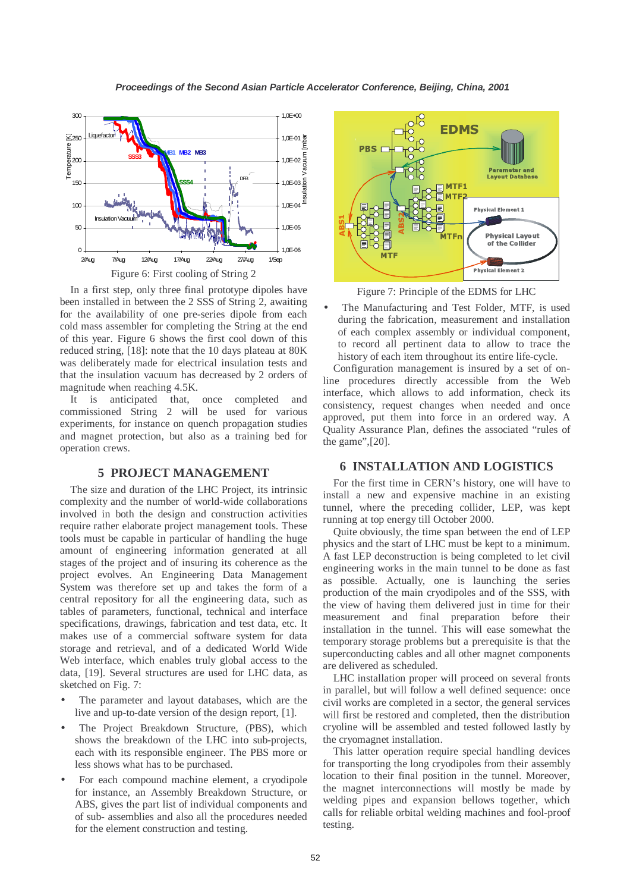

In a first step, only three final prototype dipoles have been installed in between the 2 SSS of String 2, awaiting for the availability of one pre-series dipole from each cold mass assembler for completing the String at the end of this year. Figure 6 shows the first cool down of this reduced string, [18]: note that the 10 days plateau at 80K was deliberately made for electrical insulation tests and that the insulation vacuum has decreased by 2 orders of magnitude when reaching 4.5K.

It is anticipated that, once completed and commissioned String 2 will be used for various experiments, for instance on quench propagation studies and magnet protection, but also as a training bed for operation crews.

# **5 PROJECT MANAGEMENT**

The size and duration of the LHC Project, its intrinsic complexity and the number of world-wide collaborations involved in both the design and construction activities require rather elaborate project management tools. These tools must be capable in particular of handling the huge amount of engineering information generated at all stages of the project and of insuring its coherence as the project evolves. An Engineering Data Management System was therefore set up and takes the form of a central repository for all the engineering data, such as tables of parameters, functional, technical and interface specifications, drawings, fabrication and test data, etc. It makes use of a commercial software system for data storage and retrieval, and of a dedicated World Wide Web interface, which enables truly global access to the data, [19]. Several structures are used for LHC data, as sketched on Fig. 7:

- The parameter and layout databases, which are the live and up-to-date version of the design report, [1].
- The Project Breakdown Structure, (PBS), which shows the breakdown of the LHC into sub-projects, each with its responsible engineer. The PBS more or less shows what has to be purchased.
- For each compound machine element, a cryodipole for instance, an Assembly Breakdown Structure, or ABS, gives the part list of individual components and of sub- assemblies and also all the procedures needed for the element construction and testing.



Figure 7: Principle of the EDMS for LHC

The Manufacturing and Test Folder, MTF, is used during the fabrication, measurement and installation of each complex assembly or individual component, to record all pertinent data to allow to trace the history of each item throughout its entire life-cycle.

Configuration management is insured by a set of online procedures directly accessible from the Web interface, which allows to add information, check its consistency, request changes when needed and once approved, put them into force in an ordered way. A Quality Assurance Plan, defines the associated "rules of the game",[20].

# **6 INSTALLATION AND LOGISTICS**

For the first time in CERN's history, one will have to install a new and expensive machine in an existing tunnel, where the preceding collider, LEP, was kept running at top energy till October 2000.

Quite obviously, the time span between the end of LEP physics and the start of LHC must be kept to a minimum. A fast LEP deconstruction is being completed to let civil engineering works in the main tunnel to be done as fast as possible. Actually, one is launching the series production of the main cryodipoles and of the SSS, with the view of having them delivered just in time for their measurement and final preparation before their installation in the tunnel. This will ease somewhat the temporary storage problems but a prerequisite is that the superconducting cables and all other magnet components are delivered as scheduled.

LHC installation proper will proceed on several fronts in parallel, but will follow a well defined sequence: once civil works are completed in a sector, the general services will first be restored and completed, then the distribution cryoline will be assembled and tested followed lastly by the cryomagnet installation.

This latter operation require special handling devices for transporting the long cryodipoles from their assembly location to their final position in the tunnel. Moreover, the magnet interconnections will mostly be made by welding pipes and expansion bellows together, which calls for reliable orbital welding machines and fool-proof testing.